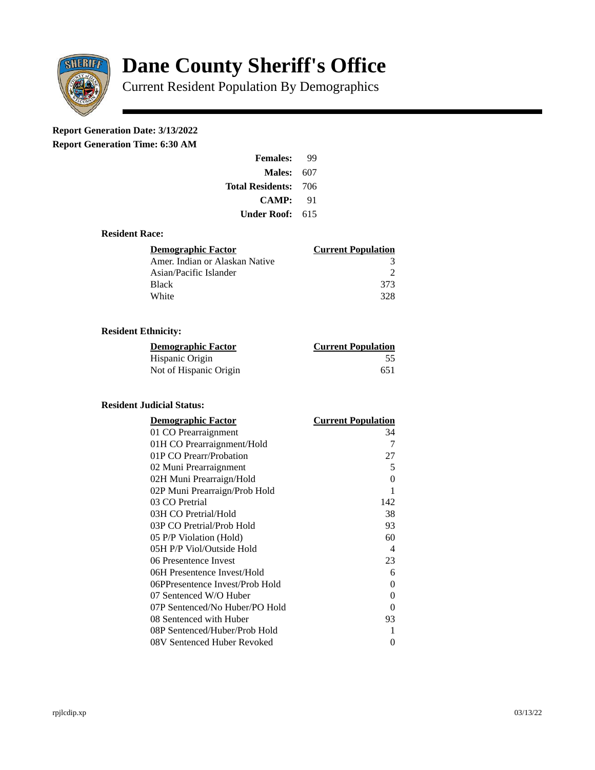

# **Dane County Sheriff's Office**

Current Resident Population By Demographics

# **Report Generation Date: 3/13/2022**

**Report Generation Time: 6:30 AM** 

| <b>Females:</b>         | qq  |
|-------------------------|-----|
| Males:                  | 607 |
| <b>Total Residents:</b> | 706 |
| <b>CAMP:</b>            | 91  |
| Under Roof:             | 615 |

## **Resident Race:**

| Demographic Factor             | <b>Current Population</b> |
|--------------------------------|---------------------------|
| Amer. Indian or Alaskan Native |                           |
| Asian/Pacific Islander         | ר                         |
| <b>Black</b>                   | 373                       |
| White                          | 328                       |

# **Resident Ethnicity:**

| <u>Demographic Factor</u> | <b>Current Population</b> |
|---------------------------|---------------------------|
| Hispanic Origin           | 55                        |
| Not of Hispanic Origin    | 651                       |

#### **Resident Judicial Status:**

| <b>Demographic Factor</b>       | <b>Current Population</b>  |
|---------------------------------|----------------------------|
| 01 CO Prearraignment            | 34                         |
| 01H CO Prearraignment/Hold      | 7                          |
| 01P CO Prearr/Probation         | 27                         |
| 02 Muni Prearraignment          | 5                          |
| 02H Muni Prearraign/Hold        | 0                          |
| 02P Muni Prearraign/Prob Hold   | 1                          |
| 03 CO Pretrial                  | 142                        |
| 03H CO Pretrial/Hold            | 38                         |
| 03P CO Pretrial/Prob Hold       | 93                         |
| 05 P/P Violation (Hold)         | 60                         |
| 05H P/P Viol/Outside Hold       | $\boldsymbol{\mathcal{A}}$ |
| 06 Presentence Invest           | 23                         |
| 06H Presentence Invest/Hold     | 6                          |
| 06PPresentence Invest/Prob Hold | 0                          |
| 07 Sentenced W/O Huber          | 0                          |
| 07P Sentenced/No Huber/PO Hold  | 0                          |
| 08 Sentenced with Huber         | 93                         |
| 08P Sentenced/Huber/Prob Hold   | 1                          |
| 08V Sentenced Huber Revoked     | 0                          |